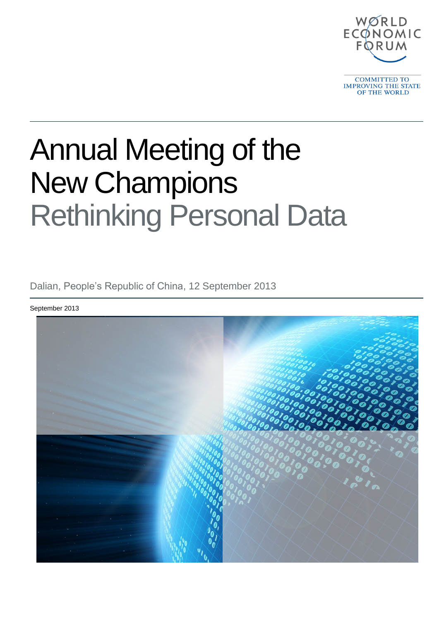

**COMMITTED TO** IMPROVING THE STATE OF THE WORLD

# Annual Meeting of the New Champions Rethinking Personal Data

Dalian, People's Republic of China, 12 September 2013

September 2013

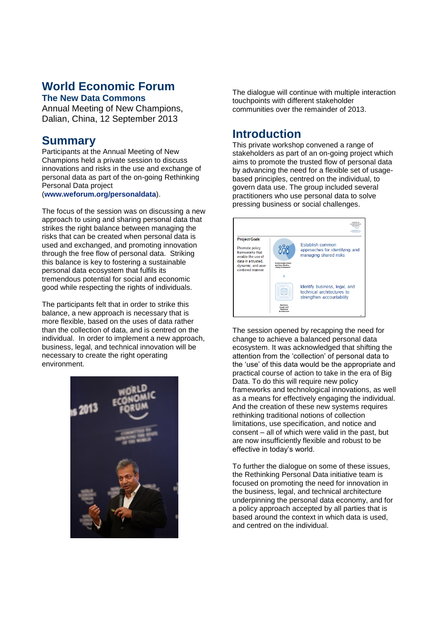# **World Economic Forum**

#### **The New Data Commons**

Annual Meeting of New Champions, Dalian, China, 12 September 2013

#### **Summary**

Participants at the Annual Meeting of New Champions held a private session to discuss innovations and risks in the use and exchange of personal data as part of the on-going Rethinking Personal Data project

(**[www.weforum.org/personaldata](http://www.weforum.org/personaldata)**).

The focus of the session was on discussing a new approach to using and sharing personal data that strikes the right balance between managing the risks that can be created when personal data is used and exchanged, and promoting innovation through the free flow of personal data. Striking this balance is key to fostering a sustainable personal data ecosystem that fulfils its tremendous potential for social and economic good while respecting the rights of individuals.

The participants felt that in order to strike this balance, a new approach is necessary that is more flexible, based on the uses of data rather than the collection of data, and is centred on the individual. In order to implement a new approach, business, legal, and technical innovation will be necessary to create the right operating environment.



The dialogue will continue with multiple interaction touchpoints with different stakeholder communities over the remainder of 2013.

### **Introduction**

This private workshop convened a range of stakeholders as part of an on-going project which aims to promote the trusted flow of personal data by advancing the need for a flexible set of usagebased principles, centred on the individual, to govern data use. The group included several practitioners who use personal data to solve pressing business or social challenges.



The session opened by recapping the need for change to achieve a balanced personal data ecosystem. It was acknowledged that shifting the attention from the 'collection' of personal data to the 'use' of this data would be the appropriate and practical course of action to take in the era of Big Data. To do this will require new policy frameworks and technological innovations, as well as a means for effectively engaging the individual. And the creation of these new systems requires rethinking traditional notions of collection limitations, use specification, and notice and consent – all of which were valid in the past, but are now insufficiently flexible and robust to be effective in today's world.

To further the dialogue on some of these issues, the Rethinking Personal Data initiative team is focused on promoting the need for innovation in the business, legal, and technical architecture underpinning the personal data economy, and for a policy approach accepted by all parties that is based around the context in which data is used, and centred on the individual.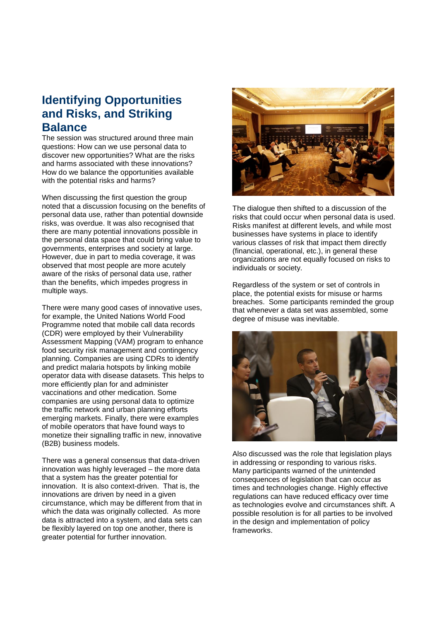## **Identifying Opportunities and Risks, and Striking Balance**

The session was structured around three main questions: How can we use personal data to discover new opportunities? What are the risks and harms associated with these innovations? How do we balance the opportunities available with the potential risks and harms?

When discussing the first question the group noted that a discussion focusing on the benefits of personal data use, rather than potential downside risks, was overdue. It was also recognised that there are many potential innovations possible in the personal data space that could bring value to governments, enterprises and society at large. However, due in part to media coverage, it was observed that most people are more acutely aware of the risks of personal data use, rather than the benefits, which impedes progress in multiple ways.

There were many good cases of innovative uses, for example, the United Nations World Food Programme noted that mobile call data records (CDR) were employed by their Vulnerability Assessment Mapping (VAM) program to enhance food security risk management and contingency planning. Companies are using CDRs to identify and predict malaria hotspots by linking mobile operator data with disease datasets. This helps to more efficiently plan for and administer vaccinations and other medication. Some companies are using personal data to optimize the traffic network and urban planning efforts emerging markets. Finally, there were examples of mobile operators that have found ways to monetize their signalling traffic in new, innovative (B2B) business models.

There was a general consensus that data-driven innovation was highly leveraged – the more data that a system has the greater potential for innovation. It is also context-driven. That is, the innovations are driven by need in a given circumstance, which may be different from that in which the data was originally collected. As more data is attracted into a system, and data sets can be flexibly layered on top one another, there is greater potential for further innovation.



The dialogue then shifted to a discussion of the risks that could occur when personal data is used. Risks manifest at different levels, and while most businesses have systems in place to identify various classes of risk that impact them directly (financial, operational, etc.), in general these organizations are not equally focused on risks to individuals or society.

Regardless of the system or set of controls in place, the potential exists for misuse or harms breaches. Some participants reminded the group that whenever a data set was assembled, some degree of misuse was inevitable.



Also discussed was the role that legislation plays in addressing or responding to various risks. Many participants warned of the unintended consequences of legislation that can occur as times and technologies change. Highly effective regulations can have reduced efficacy over time as technologies evolve and circumstances shift. A possible resolution is for all parties to be involved in the design and implementation of policy frameworks.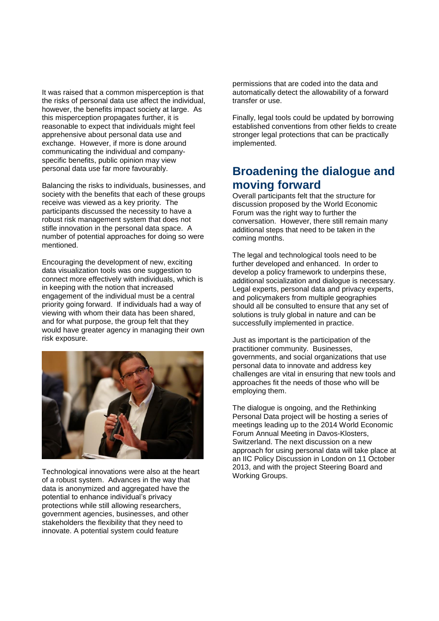It was raised that a common misperception is that the risks of personal data use affect the individual, however, the benefits impact society at large. As this misperception propagates further, it is reasonable to expect that individuals might feel apprehensive about personal data use and exchange. However, if more is done around communicating the individual and companyspecific benefits, public opinion may view personal data use far more favourably.

Balancing the risks to individuals, businesses, and society with the benefits that each of these groups receive was viewed as a key priority. The participants discussed the necessity to have a robust risk management system that does not stifle innovation in the personal data space. A number of potential approaches for doing so were mentioned.

Encouraging the development of new, exciting data visualization tools was one suggestion to connect more effectively with individuals, which is in keeping with the notion that increased engagement of the individual must be a central priority going forward. If individuals had a way of viewing with whom their data has been shared, and for what purpose, the group felt that they would have greater agency in managing their own risk exposure.



Technological innovations were also at the heart of a robust system. Advances in the way that data is anonymized and aggregated have the potential to enhance individual's privacy protections while still allowing researchers, government agencies, businesses, and other stakeholders the flexibility that they need to innovate. A potential system could feature

permissions that are coded into the data and automatically detect the allowability of a forward transfer or use.

Finally, legal tools could be updated by borrowing established conventions from other fields to create stronger legal protections that can be practically implemented.

### **Broadening the dialogue and moving forward**

Overall participants felt that the structure for discussion proposed by the World Economic Forum was the right way to further the conversation. However, there still remain many additional steps that need to be taken in the coming months.

The legal and technological tools need to be further developed and enhanced. In order to develop a policy framework to underpins these, additional socialization and dialogue is necessary. Legal experts, personal data and privacy experts, and policymakers from multiple geographies should all be consulted to ensure that any set of solutions is truly global in nature and can be successfully implemented in practice.

Just as important is the participation of the practitioner community. Businesses, governments, and social organizations that use personal data to innovate and address key challenges are vital in ensuring that new tools and approaches fit the needs of those who will be employing them.

The dialogue is ongoing, and the Rethinking Personal Data project will be hosting a series of meetings leading up to the 2014 World Economic Forum Annual Meeting in Davos-Klosters, Switzerland. The next discussion on a new approach for using personal data will take place at an IIC Policy Discussion in London on 11 October 2013, and with the project Steering Board and Working Groups.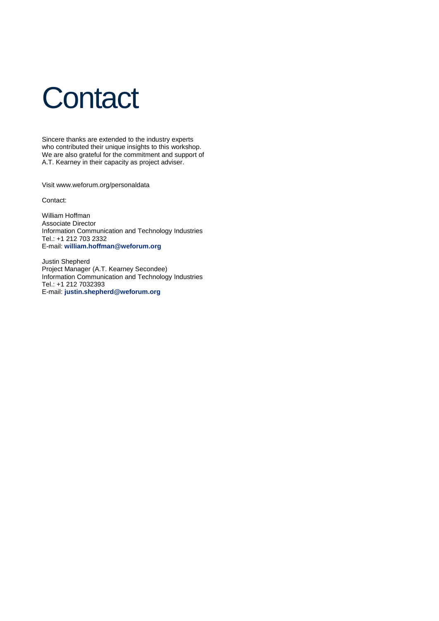# **Contact**

Sincere thanks are extended to the industry experts who contributed their unique insights to this workshop. We are also grateful for the commitment and support of A.T. Kearney in their capacity as project adviser.

Visit www.weforum.org/personaldata

Contact:

William Hoffman Associate Director Information Communication and Technology Industries Tel.: +1 212 703 2332 E-mail: **[william.hoffman@weforum.org](mailto:william.hoffman@weforum.org)**

Justin Shepherd Project Manager (A.T. Kearney Secondee) Information Communication and Technology Industries Tel.: +1 212 7032393 E-mail: **[justin.shepherd@weforum.org](mailto:justin.shepherd@weforum.org)**